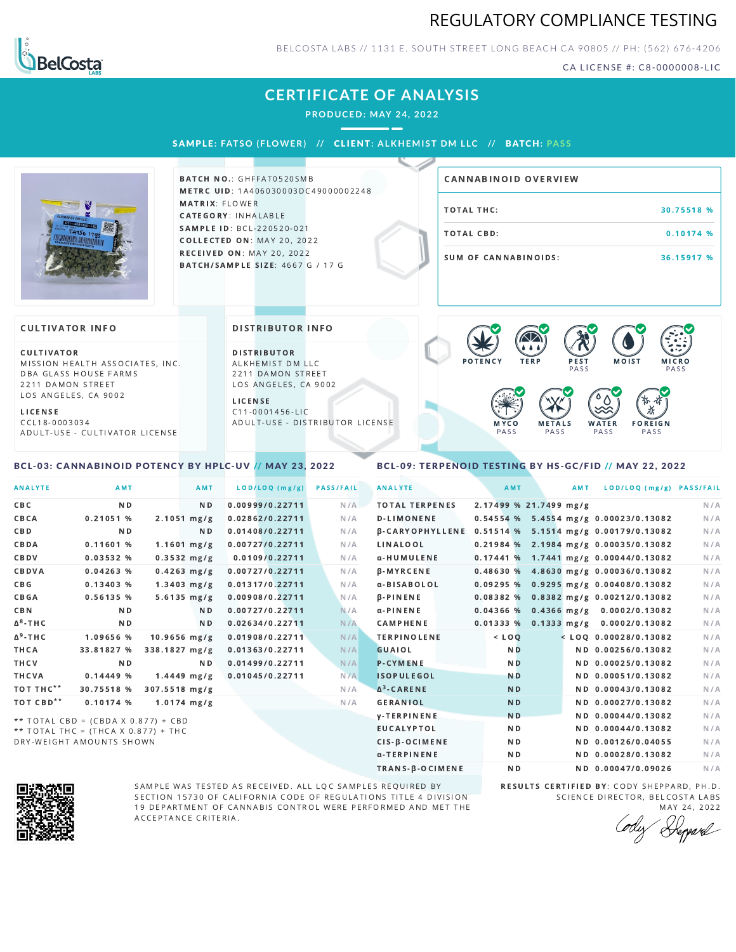## REGULATORY COMPLIANCE TESTING



BELCOSTA LABS // 1131 E. SOUTH STREET LONG BEACH C A 90805 // PH: (562) 676-4206

CA LICENSE #: C8-0000008-LIC

# **CERTIFICATE OF ANALYSIS**

**PRODUCED: MAY 24, 2022**

#### SAMPL E **: FATSO ( F LOWER) //** CL I ENT**: A LKHEMI ST DM L LC //** BATCH**: PA S S**



BATCH NO.: GHFFAT0520SMB METRC UID: 1A406030003DC49000002248 MATRIX: FLOWER CATEGORY: INHALABLE SAMPLE ID: BCL-220520-021 **COLLECTED ON: MAY 20, 2022 RECEIVED ON: MAY 20, 2022** BATCH/SAMPLE SIZE: 4667 G / 17 G

| CANNABINOID OVERVIEW |            |
|----------------------|------------|
| TOTAL THC:           | 30.75518 % |
| TOTAL CBD:           | 0.10174%   |
| SUM OF CANNABINOIDS: | 36.15917 % |

#### **CULTIVATOR INFO**

CULTIVATOR MISSION HEALTH ASSOCIATES, INC. DBA GLASS HOUSE FARMS 2211 DAMON STREET LOS ANGELES, CA 9002

L I C E N S E

C C L 1 8 - 0 0 0 3 0 3 4 A D U L T - U S E - C U L T I V A T O R L I CENSE

<span id="page-0-0"></span>BCL-03: CANNABINOID POTENCY BY HPLC-UV // MAY 23, 2022

#### DISTRIBUTOR INFO

D I STRIBUTOR ALKHEMIST DM LLC 2211 DAMON STREET LOS ANGELES, CA 9002

L I C E N S E C 1 1 - 0 0 0 1 4 5 6 - L I C A D U L T - U S E - D I STRIBUTOR LICENSE



### <span id="page-0-1"></span>BCL-09: TERPENOID TESTING BY HS-GC/FID // MAY 22, 2022

| AMT            | AMT            |                                                                                                                                                                                                                                                                                | <b>PASS/FAIL</b>                   | <b>ANALYTE</b>        | AMT            |                        | AMT |                                                                                                                                                                                                                                                                                                                                                                                                                                                                                                                                                                                                                                    |
|----------------|----------------|--------------------------------------------------------------------------------------------------------------------------------------------------------------------------------------------------------------------------------------------------------------------------------|------------------------------------|-----------------------|----------------|------------------------|-----|------------------------------------------------------------------------------------------------------------------------------------------------------------------------------------------------------------------------------------------------------------------------------------------------------------------------------------------------------------------------------------------------------------------------------------------------------------------------------------------------------------------------------------------------------------------------------------------------------------------------------------|
| N <sub>D</sub> | N <sub>D</sub> |                                                                                                                                                                                                                                                                                | N/A                                | <b>TOTAL TERPENES</b> |                |                        |     | N/A                                                                                                                                                                                                                                                                                                                                                                                                                                                                                                                                                                                                                                |
| 0.21051%       |                | 0.02862/0.22711                                                                                                                                                                                                                                                                | N/A                                | <b>D-LIMONENE</b>     |                |                        |     | N/A                                                                                                                                                                                                                                                                                                                                                                                                                                                                                                                                                                                                                                |
| N <sub>D</sub> | ND.            | 0.01408/0.22711                                                                                                                                                                                                                                                                | N/A                                |                       |                |                        |     | N/A                                                                                                                                                                                                                                                                                                                                                                                                                                                                                                                                                                                                                                |
| 0.11601%       |                | 0.00727/0.22711                                                                                                                                                                                                                                                                | N/A                                | LINALOOL              |                |                        |     | N/A                                                                                                                                                                                                                                                                                                                                                                                                                                                                                                                                                                                                                                |
| 0.03532 %      |                | 0.0109/0.22711                                                                                                                                                                                                                                                                 | N/A                                | α-HUMULENE            |                |                        |     | N/A                                                                                                                                                                                                                                                                                                                                                                                                                                                                                                                                                                                                                                |
| 0.04263%       |                | 0.00727/0.22711                                                                                                                                                                                                                                                                | N/A                                | <b>B-MYRCENE</b>      |                |                        |     | N/A                                                                                                                                                                                                                                                                                                                                                                                                                                                                                                                                                                                                                                |
| 0.13403%       |                | 0.01317/0.22711                                                                                                                                                                                                                                                                | N/A                                | α-BISABOLOL           |                |                        |     | N/A                                                                                                                                                                                                                                                                                                                                                                                                                                                                                                                                                                                                                                |
| 0.56135 %      |                | 0.00908/0.22711                                                                                                                                                                                                                                                                | N/A                                | $\beta$ -PINENE       |                |                        |     | N/A                                                                                                                                                                                                                                                                                                                                                                                                                                                                                                                                                                                                                                |
| N <sub>D</sub> | N D            | 0.00727/0.22711                                                                                                                                                                                                                                                                | N/A                                | $\alpha$ -PINENE      |                |                        |     | N/A                                                                                                                                                                                                                                                                                                                                                                                                                                                                                                                                                                                                                                |
| ND.            | ND.            | 0.02634/0.22711                                                                                                                                                                                                                                                                | N/A                                | CAMPHENE              |                |                        |     | N/A                                                                                                                                                                                                                                                                                                                                                                                                                                                                                                                                                                                                                                |
| 1.09656 %      |                |                                                                                                                                                                                                                                                                                | N/A                                | <b>TERPINOLENE</b>    | $<$ LOQ        |                        |     | N/A                                                                                                                                                                                                                                                                                                                                                                                                                                                                                                                                                                                                                                |
| 33.81827 %     |                | 0.01363/0.22711                                                                                                                                                                                                                                                                | N/A                                | <b>GUAIOL</b>         | N <sub>D</sub> |                        |     | N/A                                                                                                                                                                                                                                                                                                                                                                                                                                                                                                                                                                                                                                |
| N <sub>D</sub> | ND.            | 0.01499/0.22711                                                                                                                                                                                                                                                                | N/A                                | <b>P-CYMENE</b>       | N <sub>D</sub> |                        |     | N/A                                                                                                                                                                                                                                                                                                                                                                                                                                                                                                                                                                                                                                |
| 0.14449%       |                | 0.01045/0.22711                                                                                                                                                                                                                                                                | N/A                                | <b>ISOPULEGOL</b>     | <b>ND</b>      |                        |     | N/A                                                                                                                                                                                                                                                                                                                                                                                                                                                                                                                                                                                                                                |
| 30.75518 %     |                |                                                                                                                                                                                                                                                                                | N/A                                | $\Delta^3$ -CARENE    | <b>ND</b>      |                        |     | N/A                                                                                                                                                                                                                                                                                                                                                                                                                                                                                                                                                                                                                                |
| $0.10174$ %    |                |                                                                                                                                                                                                                                                                                | N/A                                | <b>GERANIOL</b>       | <b>ND</b>      |                        |     | N/A                                                                                                                                                                                                                                                                                                                                                                                                                                                                                                                                                                                                                                |
|                |                |                                                                                                                                                                                                                                                                                |                                    | <b>y-TERPINENE</b>    | N <sub>D</sub> |                        |     | N/A                                                                                                                                                                                                                                                                                                                                                                                                                                                                                                                                                                                                                                |
|                |                |                                                                                                                                                                                                                                                                                |                                    | <b>EUCALYPTOL</b>     | N <sub>D</sub> |                        |     | N/A                                                                                                                                                                                                                                                                                                                                                                                                                                                                                                                                                                                                                                |
|                |                | $2.1051 \, mg/g$<br>$1.1601$ mg/g<br>$0.3532$ mg/g<br>$0.4263$ mg/g<br>$1.3403$ mg/g<br>$5.6135 \, mg/g$<br>$10.9656$ mg/g<br>338.1827 mg/g<br>$1.4449$ mg/g<br>$307.5518$ mg/g<br>$1.0174$ mg/g<br>** TOTAL CBD = (CBDA X 0.877) + CBD<br>** TOTAL THC = (THCA X 0.877) + THC | 0.00999/0.22711<br>0.01908/0.22711 | LOD/LOQ (mg/g)        |                | <b>B-CARYOPHYLLENE</b> |     | LOD/LOQ (mg/g) PASS/FAIL<br>2.17499 % 21.7499 mg/g<br>$0.54554$ % 5.4554 mg/g 0.00023/0.13082<br>0.51514 % 5.1514 mg/g 0.00179/0.13082<br>$0.21984$ % 2.1984 mg/g 0.00035/0.13082<br>$0.17441$ % 1.7441 mg/g 0.00044/0.13082<br>$0.48630\%$ 4.8630 mg/g 0.00036/0.13082<br>0.09295 % 0.9295 mg/g 0.00408/0.13082<br>0.08382 % 0.8382 mg/g 0.00212/0.13082<br>$0.04366$ % 0.4366 mg/g 0.0002/0.13082<br>$0.01333\%$ 0.1333 mg/g 0.0002/0.13082<br>$<$ LOO 0.00028/0.13082<br>ND 0.00256/0.13082<br>ND 0.00025/0.13082<br>ND 0.00051/0.13082<br>ND 0.00043/0.13082<br>ND 0.00027/0.13082<br>ND 0.00044/0.13082<br>ND 0.00044/0.13082 |

 $**$  TOTAL THC = (THCA X 0.877) + THC DRY-WEIGHT AMOUNTS SHOWN



SAMPLE WAS TESTED AS RECEIVED. ALL LQC SAMPLES REQUIRED BY SECTION 15730 OF CALIFORNIA CODE OF REGULATIONS TITLE 4 DIVISION 19 DEPARTMENT OF CANNABIS CONTROL WERE PERFORMED AND MET THE A C C E P T A N C E C R I T E R I A.

RESULTS CERTIFIED BY: CODY SHEPPARD, PH.D. SCIENCE DIRECTOR, BELCOSTA LABS MAY 24, 2022

CIS-β-OCIMENE ND ND ND 0.00126/0.04055 N/A α-TERPINENE ND ND ND 0.00028/0.13082 N/A TRANS-β-OCIMENE ND ND 0.00047/0.09026 N/A

Repard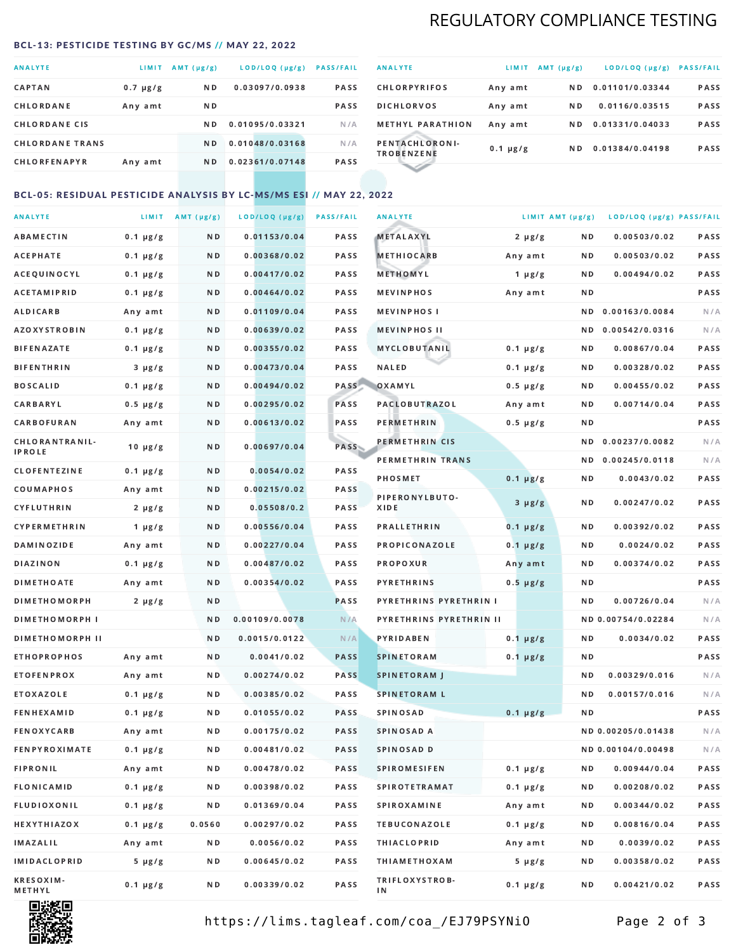# REGULATORY COMPLIANCE TESTING

#### <span id="page-1-0"></span>BCL-13: PESTICIDE TESTING BY GC/MS // MAY 22, 2022

| <b>ANALYTE</b>         | <b>LIMIT</b>  | AMT (µg/g)     | LOD/LOQ (µg/g)  | <b>PASS/FAIL</b> |
|------------------------|---------------|----------------|-----------------|------------------|
| <b>CAPTAN</b>          | $0.7 \mu g/g$ | ND.            | 0.03097/0.0938  | PASS             |
| CHLORDANE              | Any amt       | ND.            |                 | <b>PASS</b>      |
| <b>CHLORDANE CIS</b>   |               | ND.            | 0.01095/0.03321 | N/A              |
| <b>CHLORDANE TRANS</b> |               | N <sub>D</sub> | 0.01048/0.03168 | N/A              |
| <b>CHLORFENAPYR</b>    | Any amt       | ND.            | 0.02361/0.07148 | <b>PASS</b>      |

| <b>ANALYTE</b>                      | LIMIT         | $AMT(\mu g/g)$ | LOD/LOQ (µg/g)  | <b>PASS/FAIL</b> |
|-------------------------------------|---------------|----------------|-----------------|------------------|
| <b>CHLORPYRIFOS</b>                 | Any amt       | N D            | 0.01101/0.03344 | <b>PASS</b>      |
| <b>DICHLORVOS</b>                   | Any amt       | ND.            | 0.0116/0.03515  | PASS             |
| <b>METHYL PARATHION</b>             | Any amt       | ND.            | 0.01331/0.04033 | <b>PASS</b>      |
| PENTACHLORONI-<br><b>TROBENZENE</b> | $0.1 \mu g/g$ | ND.            | 0.01384/0.04198 | <b>PASS</b>      |
|                                     |               |                |                 |                  |

## BCL-05: RESIDUAL PESTICIDE ANALYSIS BY LC-MS/MS ESI // MAY 22, 2022

| <b>ANALYTE</b>         |               | LIMIT $AMT(\mu g/g)$ | LOD/LOQ (µg/g) | <b>PASS/FAIL</b> | <b>ANALYTE</b>                | LIMIT AMT (µg/g) |     | LOD/LOQ (µg/g) PASS/FAIL |      |
|------------------------|---------------|----------------------|----------------|------------------|-------------------------------|------------------|-----|--------------------------|------|
| <b>ABAMECTIN</b>       | $0.1 \mu g/g$ | N D                  | 0.01153/0.04   | PASS             | METALAXYL                     | $2 \mu g/g$      | N D | 0.00503/0.02             | PASS |
| <b>ACEPHATE</b>        | $0.1 \mu g/g$ | N D                  | 0.00368/0.02   | <b>PASS</b>      | <b>METHIOCARB</b>             | Any amt          | N D | 0.00503/0.02             | PASS |
| ACEQUINOCYL            | $0.1 \mu g/g$ | N D                  | 0.00417/0.02   | PASS             | METHOMYL                      | $1 \mu g/g$      | N D | 0.00494/0.02             | PASS |
| <b>ACETAMIPRID</b>     | $0.1 \mu g/g$ | N D                  | 0.00464/0.02   | PASS             | <b>MEVINPHOS</b>              | Any amt          | N D |                          | PASS |
| ALDICARB               | Any amt       | N D                  | 0.01109/0.04   | PASS             | <b>MEVINPHOSI</b>             |                  | N D | 0.00163/0.0084           | N/A  |
| <b>AZOXYSTROBIN</b>    | $0.1 \mu g/g$ | N D                  | 0.00639/0.02   | PASS             | <b>MEVINPHOS II</b>           |                  | N D | 0.00542/0.0316           | N/A  |
| <b>BIFENAZATE</b>      | $0.1 \mu g/g$ | N D                  | 0.00355/0.02   | PASS             | <b>MYCLOBUTANIL</b>           | $0.1 \mu g/g$    | N D | 0.00867/0.04             | PASS |
| <b>BIFENTHRIN</b>      | $3 \mu g/g$   | N D                  | 0.00473/0.04   | PASS             | NALED                         | $0.1 \mu g/g$    | N D | 0.00328/0.02             | PASS |
| <b>BOSCALID</b>        | $0.1 \mu g/g$ | N D                  | 0.00494/0.02   | PASS             | OXAMYL                        | $0.5 \mu g/g$    | N D | 0.00455/0.02             | PASS |
| CARBARYL               | $0.5 \mu g/g$ | N D                  | 0.00295/0.02   | PASS             | PACLOBUTRAZOL                 | Any amt          | N D | 0.00714/0.04             | PASS |
| <b>CARBOFURAN</b>      | Any amt       | N D                  | 0.00613/0.02   | PASS             | <b>PERMETHRIN</b>             | $0.5 \mu g/g$    | N D |                          | PASS |
| CHLORANTRANIL-         | $10 \mu g/g$  | N D                  | 0.00697/0.04   | <b>PASS</b>      | PERMETHRIN CIS                |                  | N D | 0.00237/0.0082           | N/A  |
| <b>IPROLE</b>          |               |                      |                |                  | PERMETHRIN TRANS              |                  |     | ND 0.00245/0.0118        | N/A  |
| <b>CLOFENTEZINE</b>    | $0.1 \mu g/g$ | N D                  | 0.0054/0.02    | PASS             | <b>PHOSMET</b>                | $0.1 \mu g/g$    | N D | 0.0043/0.02              | PASS |
| COUMAPHOS              | Any amt       | N D                  | 0.00215/0.02   | PASS             | PIPERONYLBUTO-                | $3 \mu g/g$      | N D | 0.00247/0.02             | PASS |
| <b>CYFLUTHRIN</b>      | $2 \mu g/g$   | N D                  | 0.05508/0.2    | <b>PASS</b>      | XIDE                          |                  |     |                          |      |
| <b>CYPERMETHRIN</b>    | $1 \mu g/g$   | N D                  | 0.00556/0.04   | PASS             | <b>PRALLETHRIN</b>            | $0.1 \mu g/g$    | N D | 0.00392/0.02             | PASS |
| <b>DAMINOZIDE</b>      | Any amt       | N D                  | 0.00227/0.04   | PASS             | PROPICONAZOLE                 | $0.1 \mu g/g$    | N D | 0.0024/0.02              | PASS |
| <b>DIAZINON</b>        | $0.1 \mu g/g$ | N D                  | 0.00487/0.02   | PASS             | <b>PROPOXUR</b>               | Any amt          | N D | 0.00374/0.02             | PASS |
| <b>DIMETHOATE</b>      | Any amt       | N D                  | 0.00354/0.02   | PASS             | <b>PYRETHRINS</b>             | $0.5 \mu g/g$    | N D |                          | PASS |
| <b>DIMETHOMORPH</b>    | $2 \mu g/g$   | N D                  |                | PASS             | <b>PYRETHRINS PYRETHRIN I</b> |                  | N D | 0.00726/0.04             | N/A  |
| <b>DIMETHOMORPH I</b>  |               | N D                  | 0.00109/0.0078 | N/A              | PYRETHRINS PYRETHRIN II       |                  |     | ND 0.00754/0.02284       | N/A  |
| <b>DIMETHOMORPH II</b> |               | N D                  | 0.0015/0.0122  | N/A              | PYRIDABEN                     | $0.1 \mu g/g$    | N D | 0.0034/0.02              | PASS |
| <b>ETHOPROPHOS</b>     | Any amt       | N D                  | 0.0041/0.02    | <b>PASS</b>      | <b>SPINETORAM</b>             | $0.1 \mu g/g$    | N D |                          | PASS |
| <b>ETOFENPROX</b>      | Any amt       | N D                  | 0.00274/0.02   | <b>PASS</b>      | <b>SPINETORAM J</b>           |                  | N D | 0.00329/0.016            | N/A  |
| ETOXAZOLE              | $0.1 \mu g/g$ | N D                  | 0.00385/0.02   | <b>PASS</b>      | <b>SPINETORAM L</b>           |                  | ND. | 0.00157/0.016            | N/A  |
| <b>FENHEXAMID</b>      | $0.1 \mu g/g$ | N D                  | 0.01055/0.02   | <b>PASS</b>      | <b>SPINOSAD</b>               | $0.1 \mu g/g$    | N D |                          | PASS |
| <b>FENOXYCARB</b>      | Any amt       | N D                  | 0.00175/0.02   | <b>PASS</b>      | <b>SPINOSAD A</b>             |                  |     | ND 0.00205/0.01438       | N/A  |
| FENPYROXIMATE          | $0.1 \mu g/g$ | N D                  | 0.00481/0.02   | <b>PASS</b>      | SPINOSAD D                    |                  |     | ND 0.00104/0.00498       | N/A  |
| <b>FIPRONIL</b>        | Any amt       | N D                  | 0.00478/0.02   | PASS             | <b>SPIROMESIFEN</b>           | $0.1 \mu g/g$    | ND  | 0.00944/0.04             | PASS |
| <b>FLONICAMID</b>      | $0.1 \mu g/g$ | N D                  | 0.00398/0.02   | PASS             | <b>SPIROTETRAMAT</b>          | $0.1 \mu g/g$    | N D | 0.00208/0.02             | PASS |
| <b>FLUDIOXONIL</b>     | $0.1 \mu g/g$ | N D                  | 0.01369/0.04   | PASS             | <b>SPIROXAMINE</b>            | Any amt          | N D | 0.00344/0.02             | PASS |
| <b>HEXYTHIAZOX</b>     | $0.1 \mu g/g$ | 0.0560               | 0.00297/0.02   | PASS             | <b>TEBUCONAZOLE</b>           | $0.1 \mu g/g$    | N D | 0.00816/0.04             | PASS |
| IMAZALIL               | Any amt       | N D                  | 0.0056/0.02    | PASS             | <b>THIACLOPRID</b>            | Any amt          | N D | 0.0039/0.02              | PASS |
| <b>IMIDACLOPRID</b>    | 5 µg/g        | N D                  | 0.00645/0.02   | PASS             | <b>THIAMETHOXAM</b>           | $5 \mu g/g$      | N D | 0.00358/0.02             | PASS |
| KRESOXIM-<br>METHYL    | $0.1 \mu g/g$ | N D                  | 0.00339/0.02   | PASS             | TRIFLOXYSTROB-<br>ΙN          | $0.1 \mu g/g$    | N D | 0.00421/0.02             | PASS |